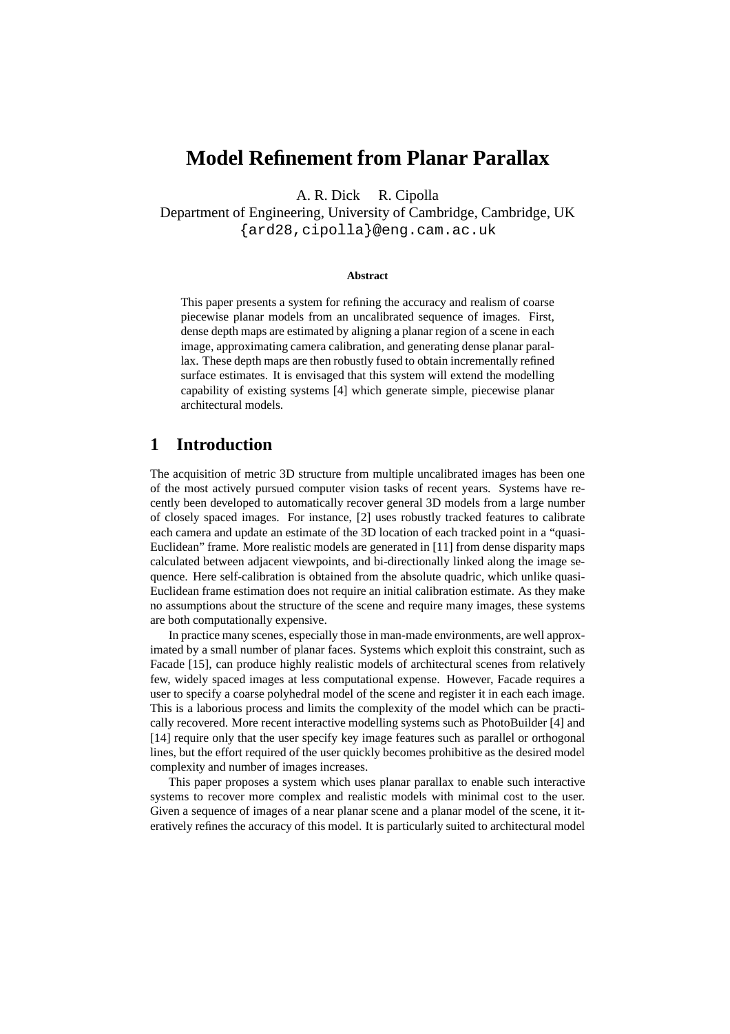# **Model Refinement from Planar Parallax**

A. R. Dick R. Cipolla

Department of Engineering, University of Cambridge, Cambridge, UK {ard28,cipolla}@eng.cam.ac.uk

#### **Abstract**

This paper presents a system for refining the accuracy and realism of coarse piecewise planar models from an uncalibrated sequence of images. First, dense depth maps are estimated by aligning a planar region of a scene in each image, approximating camera calibration, and generating dense planar parallax. These depth maps are then robustly fused to obtain incrementally refined surface estimates. It is envisaged that this system will extend the modelling capability of existing systems [4] which generate simple, piecewise planar architectural models.

### **1 Introduction**

The acquisition of metric 3D structure from multiple uncalibrated images has been one of the most actively pursued computer vision tasks of recent years. Systems have recently been developed to automatically recover general 3D models from a large number of closely spaced images. For instance, [2] uses robustly tracked features to calibrate each camera and update an estimate of the 3D location of each tracked point in a "quasi-Euclidean" frame. More realistic models are generated in [11] from dense disparity maps calculated between adjacent viewpoints, and bi-directionally linked along the image sequence. Here self-calibration is obtained from the absolute quadric, which unlike quasi-Euclidean frame estimation does not require an initial calibration estimate. As they make no assumptions about the structure of the scene and require many images, these systems are both computationally expensive.

In practice many scenes, especially those in man-made environments, are well approximated by a small number of planar faces. Systems which exploit this constraint, such as Facade [15], can produce highly realistic models of architectural scenes from relatively few, widely spaced images at less computational expense. However, Facade requires a user to specify a coarse polyhedral model of the scene and register it in each each image. This is a laborious process and limits the complexity of the model which can be practically recovered. More recent interactive modelling systems such as PhotoBuilder [4] and [14] require only that the user specify key image features such as parallel or orthogonal lines, but the effort required of the user quickly becomes prohibitive as the desired model complexity and number of images increases.

This paper proposes a system which uses planar parallax to enable such interactive systems to recover more complex and realistic models with minimal cost to the user. Given a sequence of images of a near planar scene and a planar model of the scene, it iteratively refines the accuracy of this model. It is particularly suited to architectural model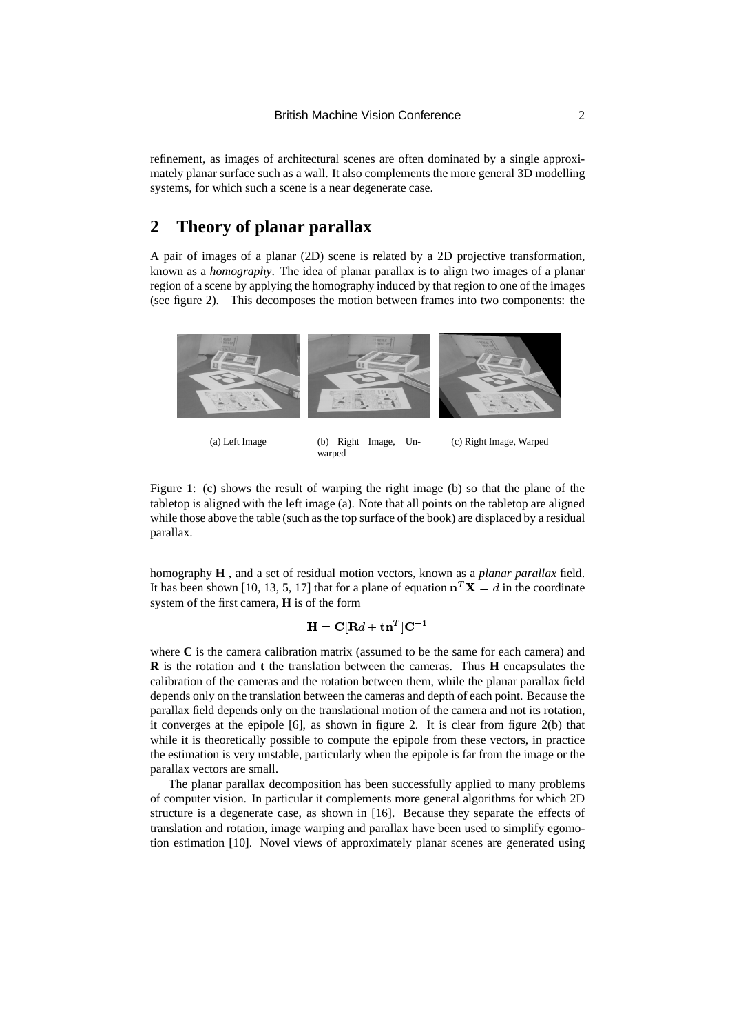refinement, as images of architectural scenes are often dominated by a single approximately planar surface such as a wall. It also complements the more general 3D modelling systems, for which such a scene is a near degenerate case.

# **2 Theory of planar parallax**

A pair of images of a planar (2D) scene is related by a 2D projective transformation, known as a *homography*. The idea of planar parallax is to align two images of a planar region of a scene by applying the homography induced by that region to one of the images (see figure 2). This decomposes the motion between frames into two components: the



(a) Left Image (b) Right Image, Un-

(c) Right Image, Warped

Figure 1: (c) shows the result of warping the right image (b) so that the plane of the tabletop is aligned with the left image (a). Note that all points on the tabletop are aligned while those above the table (such as the top surface of the book) are displaced by a residual parallax.

warped

homography **H** , and a set of residual motion vectors, known as a *planar parallax* field. It has been shown [10, 13, 5, 17] that for a plane of equation  $\mathbf{n}^T \mathbf{X} = d$  in the coordinate system of the first camera, **H** is of the form

#### $\mathbf{H} = \mathbf{C}[\mathbf{D} \mathbf{J} + \mathbf{L} \mathbf{J}]\mathbf{C}^{-1}$

where **C** is the camera calibration matrix (assumed to be the same for each camera) and **R** is the rotation and **t** the translation between the cameras. Thus **H** encapsulates the calibration of the cameras and the rotation between them, while the planar parallax field depends only on the translation between the cameras and depth of each point. Because the parallax field depends only on the translational motion of the camera and not its rotation, it converges at the epipole [6], as shown in figure 2. It is clear from figure 2(b) that while it is theoretically possible to compute the epipole from these vectors, in practice the estimation is very unstable, particularly when the epipole is far from the image or the parallax vectors are small.

The planar parallax decomposition has been successfully applied to many problems of computer vision. In particular it complements more general algorithms for which 2D structure is a degenerate case, as shown in [16]. Because they separate the effects of translation and rotation, image warping and parallax have been used to simplify egomotion estimation [10]. Novel views of approximately planar scenes are generated using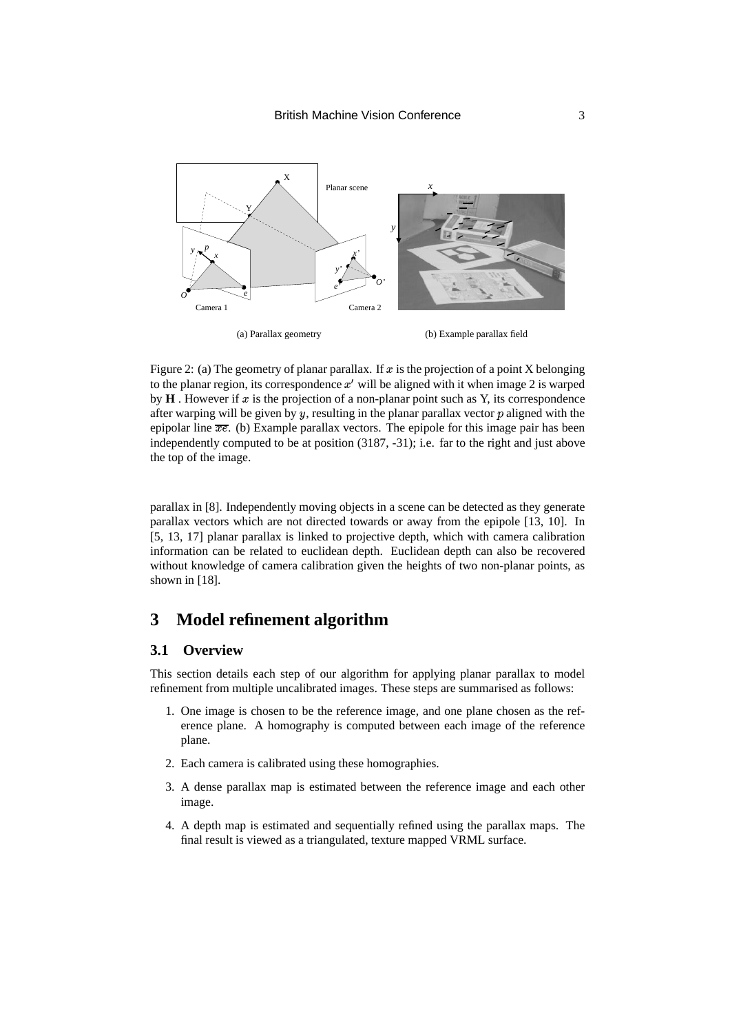

Figure 2: (a) The geometry of planar parallax. If  $x$  is the projection of a point X belonging to the planar region, its correspondence  $x'$  will be aligned with it when image 2 is warped by  $\bf{H}$ . However if x is the projection of a non-planar point such as  $\bf{Y}$ , its correspondence after warping will be given by  $y$ , resulting in the planar parallax vector  $p$  aligned with the epipolar line  $\overline{xe}$ . (b) Example parallax vectors. The epipole for this image pair has been independently computed to be at position (3187, -31); i.e. far to the right and just above the top of the image.

parallax in [8]. Independently moving objects in a scene can be detected as they generate parallax vectors which are not directed towards or away from the epipole [13, 10]. In [5, 13, 17] planar parallax is linked to projective depth, which with camera calibration information can be related to euclidean depth. Euclidean depth can also be recovered without knowledge of camera calibration given the heights of two non-planar points, as shown in [18].

# **3 Model refinement algorithm**

#### **3.1 Overview**

This section details each step of our algorithm for applying planar parallax to model refinement from multiple uncalibrated images. These steps are summarised as follows:

- 1. One image is chosen to be the reference image, and one plane chosen as the reference plane. A homography is computed between each image of the reference plane.
- 2. Each camera is calibrated using these homographies.
- 3. A dense parallax map is estimated between the reference image and each other image.
- 4. A depth map is estimated and sequentially refined using the parallax maps. The final result is viewed as a triangulated, texture mapped VRML surface.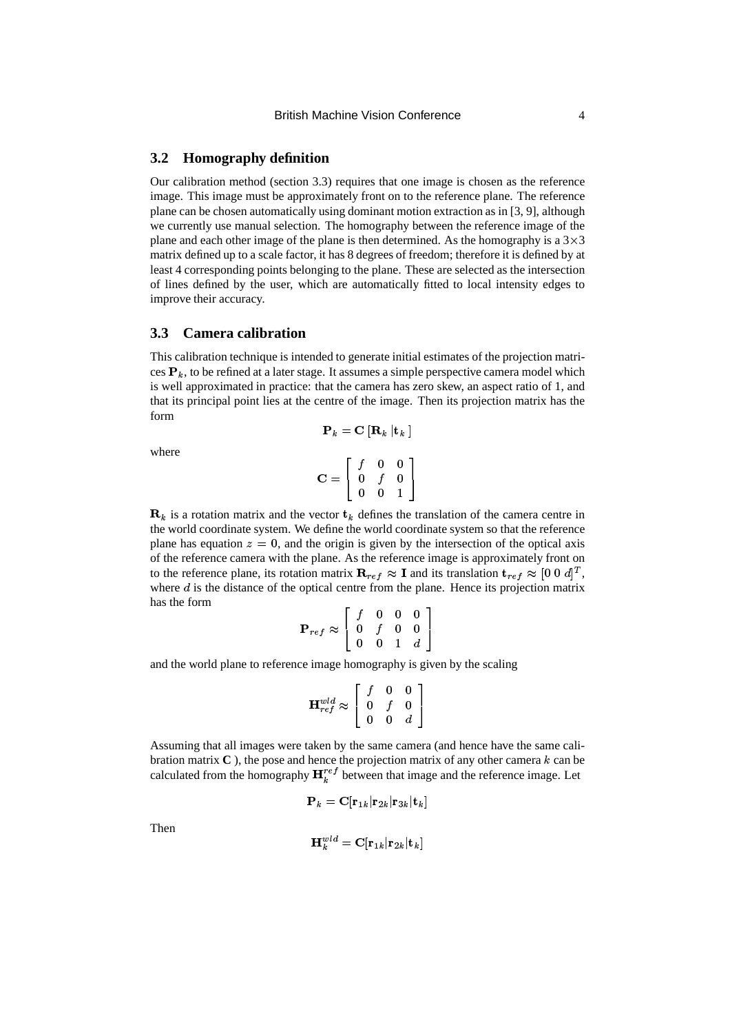#### **3.2 Homography definition**

Our calibration method (section 3.3) requires that one image is chosen as the reference image. This image must be approximately front on to the reference plane. The reference plane can be chosen automatically using dominant motion extraction as in [3, 9], although we currently use manual selection. The homography between the reference image of the plane and each other image of the plane is then determined. As the homography is a  $3 \times 3$ matrix defined up to a scale factor, it has 8 degrees of freedom; therefore it is defined by at least 4 corresponding points belonging to the plane. These are selected as the intersection of lines defined by the user, which are automatically fitted to local intensity edges to improve their accuracy.

#### **3.3 Camera calibration**

This calibration technique is intended to generate initial estimates of the projection matrices  ${\bf P}_k$ , to be refined at a later stage. It assumes a simple perspective camera model which is well approximated in practice: that the camera has zero skew, an aspect ratio of 1, and that its principal point lies at the centre of the image. Then its projection matrix has the form

 $\mathbf{P}_k = \mathbf{C} \|\mathbf{R}_k\| \mathbf{t}_k$ 

where

$$
\mathbf{C} = \left[ \begin{array}{ccc} f & 0 & 0 \\ 0 & f & 0 \\ 0 & 0 & 1 \end{array} \right]
$$

 $\mathbf{R}_k$  is a rotation matrix and the vector  $\mathbf{t}_k$  defines the translation of the camera centre in the world coordinate system. We define the world coordinate system so that the reference plane has equation  $z = 0$ , and the origin is given by the intersection of the optical axis of the reference camera with the plane. As the reference image is approximately front on to the reference plane, its rotation matrix  $\mathbf{R}_{ref} \approx \mathbf{I}$  and its translation  $\mathbf{t}_{ref} \approx [0 \ 0 \ d]^T$ , where  $d$  is the distance of the optical centre from the plane. Hence its projection matrix has the form ,-

$$
\mathbf{P}_{ref} \approx \left[ \begin{array}{cccc} f & 0 & 0 & 0 \\ 0 & f & 0 & 0 \\ 0 & 0 & 1 & d \end{array} \right]
$$

and the world plane to reference image homography is given by the scaling

$$
\mathbf{H}^{wld}_{ref} \approx \left[ \begin{array}{ccc} f & 0 & 0 \\ 0 & f & 0 \\ 0 & 0 & d \end{array} \right]
$$

Assuming that all images were taken by the same camera (and hence have the same calibration matrix  $\bf{C}$ ), the pose and hence the projection matrix of any other camera  $k$  can be calculated from the homography  $\mathbf{H}_{k}^{ref}$  between that image and the reference image. Let

$$
\mathbf{P}_k = \mathbf{C}[\mathbf{r}_{1k}|\mathbf{r}_{2k}|\mathbf{r}_{3k}|\mathbf{t}_k]
$$

Then

$$
\mathbf{H}_k^{wld} = \mathbf{C}[\mathbf{r}_{1k}|\mathbf{r}_{2k}|\mathbf{t}_k]
$$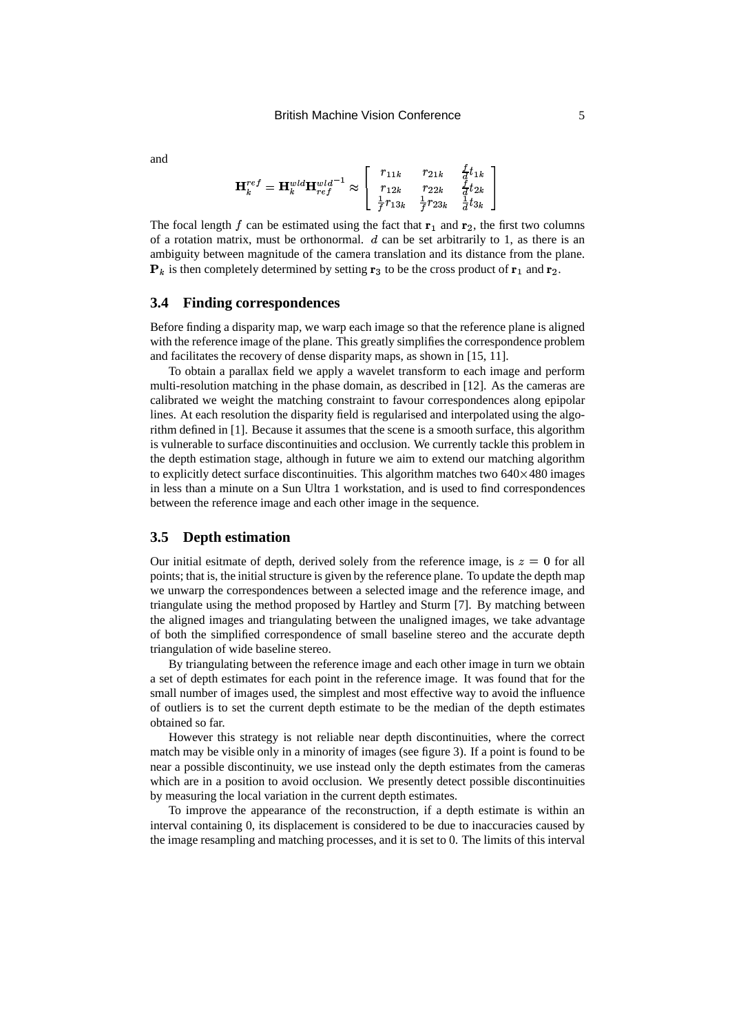$$
\mathbf{H}_{k}^{ref} = \mathbf{H}_{k}^{wld} \mathbf{H}_{ref}^{wld-1} \approx \left[ \begin{array}{ccc} r_{11k} & r_{21k} & \frac{f}{d}t_{1k} \\ r_{12k} & r_{22k} & \frac{f}{d}t_{2k} \\ \frac{1}{f}r_{13k} & \frac{1}{f}r_{23k} & \frac{1}{d}t_{3k} \end{array} \right]
$$

The focal length  $f$  can be estimated using the fact that  $\mathbf{r}_1$  and  $\mathbf{r}_2$ , the first two columns of a rotation matrix, must be orthonormal.  $d$  can be set arbitrarily to 1, as there is an ambiguity between magnitude of the camera translation and its distance from the plane.  $\mathbf{P}_k$  is then completely determined by setting  $\mathbf{r}_3$  to be the cross product of  $\mathbf{r}_1$  and  $\mathbf{r}_2$ .

#### **3.4 Finding correspondences**

Before finding a disparity map, we warp each image so that the reference plane is aligned with the reference image of the plane. This greatly simplifies the correspondence problem and facilitates the recovery of dense disparity maps, as shown in [15, 11].

To obtain a parallax field we apply a wavelet transform to each image and perform multi-resolution matching in the phase domain, as described in [12]. As the cameras are calibrated we weight the matching constraint to favour correspondences along epipolar lines. At each resolution the disparity field is regularised and interpolated using the algorithm defined in [1]. Because it assumes that the scene is a smooth surface, this algorithm is vulnerable to surface discontinuities and occlusion. We currently tackle this problem in the depth estimation stage, although in future we aim to extend our matching algorithm to explicitly detect surface discontinuities. This algorithm matches two  $640 \times 480$  images in less than a minute on a Sun Ultra 1 workstation, and is used to find correspondences between the reference image and each other image in the sequence.

#### **3.5 Depth estimation**

Our initial esitmate of depth, derived solely from the reference image, is  $z = 0$  for all points; that is, the initial structure is given by the reference plane. To update the depth map we unwarp the correspondences between a selected image and the reference image, and triangulate using the method proposed by Hartley and Sturm [7]. By matching between the aligned images and triangulating between the unaligned images, we take advantage of both the simplified correspondence of small baseline stereo and the accurate depth triangulation of wide baseline stereo.

By triangulating between the reference image and each other image in turn we obtain a set of depth estimates for each point in the reference image. It was found that for the small number of images used, the simplest and most effective way to avoid the influence of outliers is to set the current depth estimate to be the median of the depth estimates obtained so far.

However this strategy is not reliable near depth discontinuities, where the correct match may be visible only in a minority of images (see figure 3). If a point is found to be near a possible discontinuity, we use instead only the depth estimates from the cameras which are in a position to avoid occlusion. We presently detect possible discontinuities by measuring the local variation in the current depth estimates.

To improve the appearance of the reconstruction, if a depth estimate is within an interval containing 0, its displacement is considered to be due to inaccuracies caused by the image resampling and matching processes, and it is set to 0. The limits of this interval

and

,-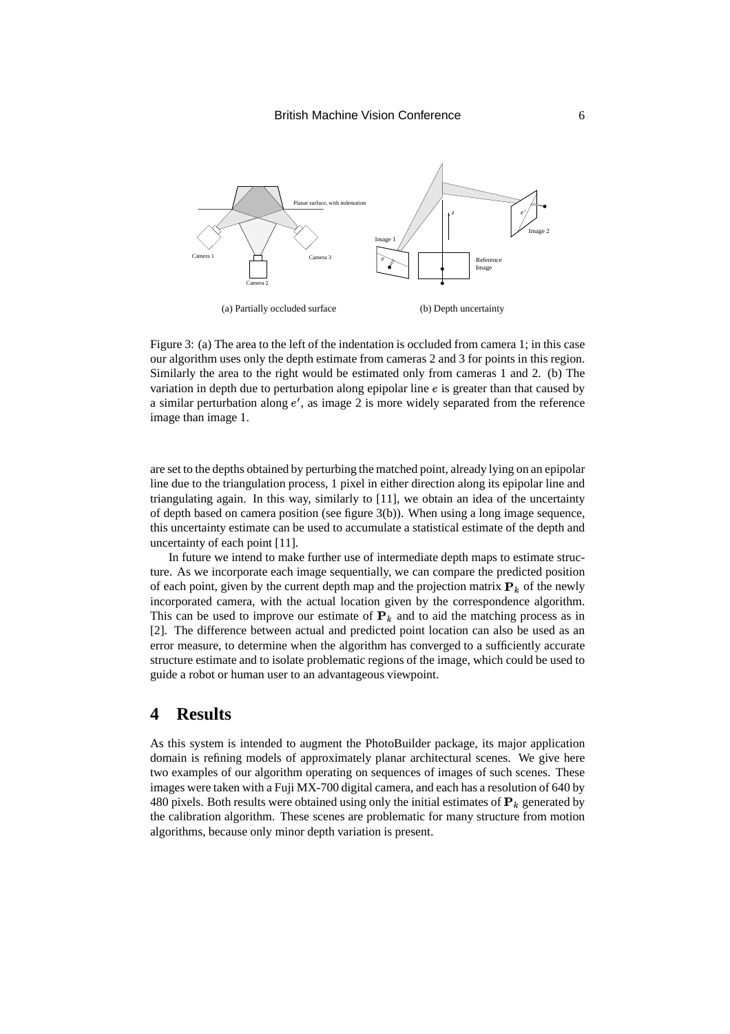

Figure 3: (a) The area to the left of the indentation is occluded from camera 1; in this case our algorithm uses only the depth estimate from cameras 2 and 3 for points in this region. Similarly the area to the right would be estimated only from cameras 1 and 2. (b) The variation in depth due to perturbation along epipolar line  $e$  is greater than that caused by a similar perturbation along  $e'$ , as image 2 is more widely separated from the reference image than image 1.

are setto the depths obtained by perturbing the matched point, already lying on an epipolar line due to the triangulation process, 1 pixel in either direction along its epipolar line and triangulating again. In this way, similarly to [11], we obtain an idea of the uncertainty of depth based on camera position (see figure 3(b)). When using a long image sequence, this uncertainty estimate can be used to accumulate a statistical estimate of the depth and uncertainty of each point [11].

In future we intend to make further use of intermediate depth maps to estimate structure. As we incorporate each image sequentially, we can compare the predicted position of each point, given by the current depth map and the projection matrix  $P_k$  of the newly incorporated camera, with the actual location given by the correspondence algorithm. This can be used to improve our estimate of  $P_k$  and to aid the matching process as in [2]. The difference between actual and predicted point location can also be used as an error measure, to determine when the algorithm has converged to a sufficiently accurate structure estimate and to isolate problematic regions of the image, which could be used to guide a robot or human user to an advantageous viewpoint.

### **4 Results**

As this system is intended to augment the PhotoBuilder package, its major application domain is refining models of approximately planar architectural scenes. We give here two examples of our algorithm operating on sequences of images of such scenes. These images were taken with a Fuji MX-700 digital camera, and each has a resolution of 640 by 480 pixels. Both results were obtained using only the initial estimates of  $\mathbf{P}_k$  generated by the calibration algorithm. These scenes are problematic for many structure from motion algorithms, because only minor depth variation is present.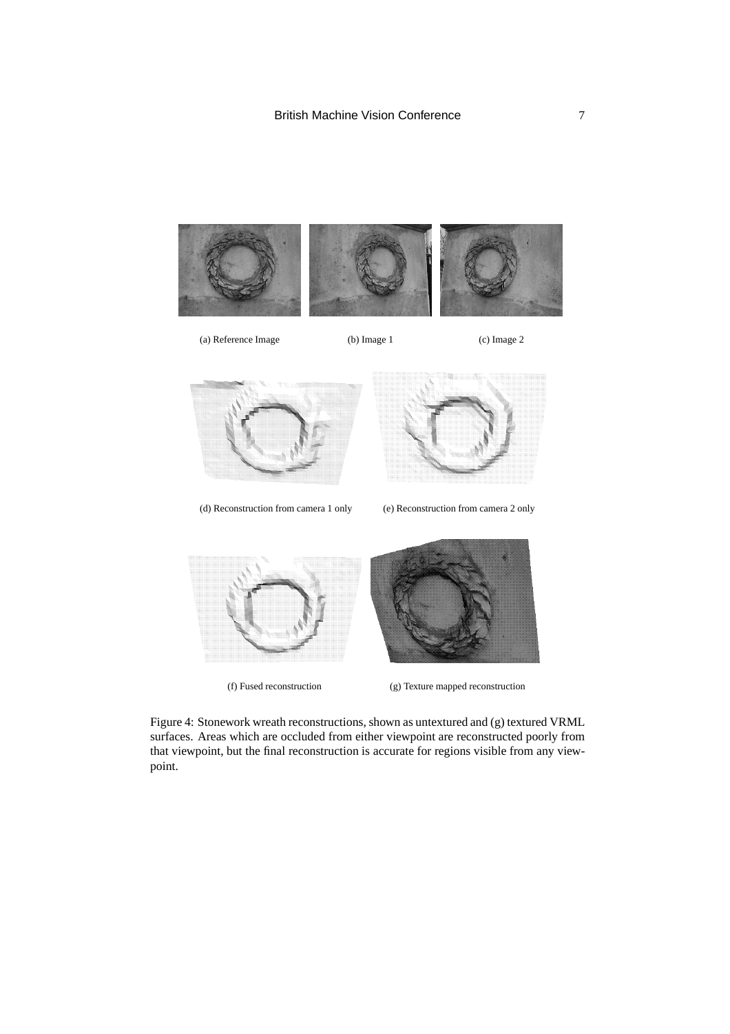

Figure 4: Stonework wreath reconstructions, shown as untextured and (g) textured VRML surfaces. Areas which are occluded from either viewpoint are reconstructed poorly from that viewpoint, but the final reconstruction is accurate for regions visible from any viewpoint.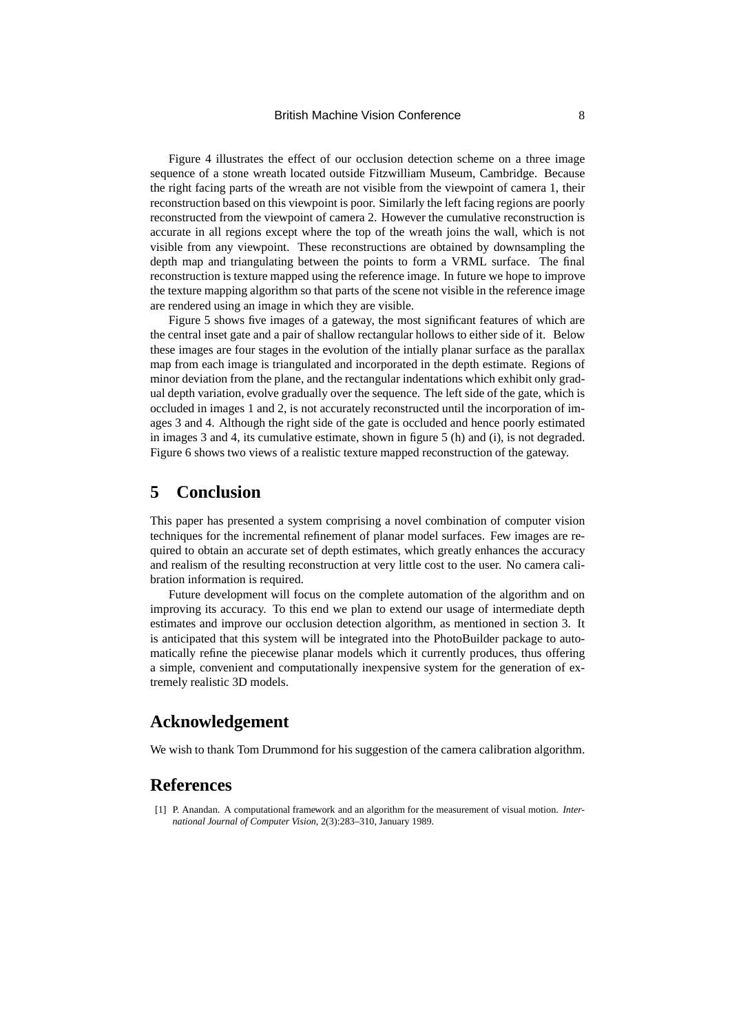Figure 4 illustrates the effect of our occlusion detection scheme on a three image sequence of a stone wreath located outside Fitzwilliam Museum, Cambridge. Because the right facing parts of the wreath are not visible from the viewpoint of camera 1, their reconstruction based on this viewpointis poor. Similarly the left facing regions are poorly reconstructed from the viewpoint of camera 2. However the cumulative reconstruction is accurate in all regions except where the top of the wreath joins the wall, which is not visible from any viewpoint. These reconstructions are obtained by downsampling the depth map and triangulating between the points to form a VRML surface. The final reconstruction is texture mapped using the reference image. In future we hope to improve the texture mapping algorithm so that parts of the scene not visible in the reference image are rendered using an image in which they are visible.

Figure 5 shows five images of a gateway, the most significant features of which are the central inset gate and a pair of shallow rectangular hollows to either side of it. Below these images are four stages in the evolution of the intially planar surface as the parallax map from each image is triangulated and incorporated in the depth estimate. Regions of minor deviation from the plane, and the rectangular indentations which exhibit only gradual depth variation, evolve gradually over the sequence. The left side of the gate, which is occluded in images 1 and 2, is not accurately reconstructed until the incorporation of images 3 and 4. Although the right side of the gate is occluded and hence poorly estimated in images 3 and 4, its cumulative estimate, shown in figure 5 (h) and (i), is not degraded. Figure 6 shows two views of a realistic texture mapped reconstruction of the gateway.

# **5 Conclusion**

This paper has presented a system comprising a novel combination of computer vision techniques for the incremental refinement of planar model surfaces. Few images are required to obtain an accurate set of depth estimates, which greatly enhances the accuracy and realism of the resulting reconstruction at very little cost to the user. No camera calibration information is required.

Future development will focus on the complete automation of the algorithm and on improving its accuracy. To this end we plan to extend our usage of intermediate depth estimates and improve our occlusion detection algorithm, as mentioned in section 3. It is anticipated that this system will be integrated into the PhotoBuilder package to automatically refine the piecewise planar models which it currently produces, thus offering a simple, convenient and computationally inexpensive system for the generation of extremely realistic 3D models.

# **Acknowledgement**

We wish to thank Tom Drummond for his suggestion of the camera calibration algorithm.

### **References**

<sup>[1]</sup> P. Anandan. A computational framework and an algorithm for the measurement of visual motion. *International Journal of Computer Vision*, 2(3):283–310, January 1989.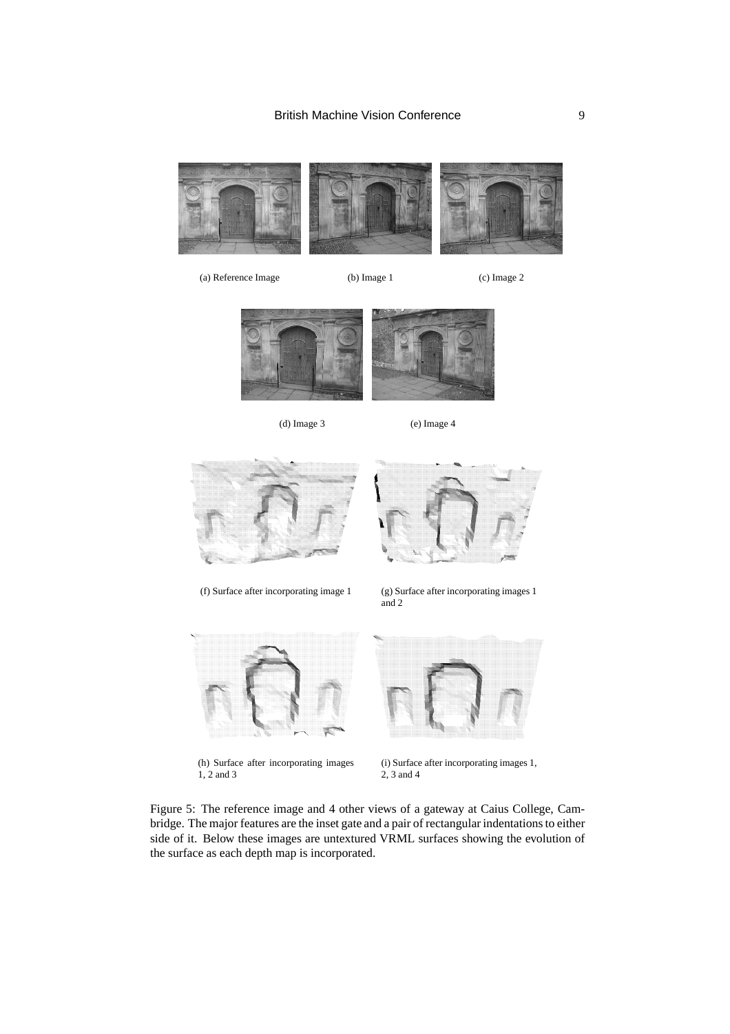

(a) Reference Image (b) Image 1 (c) Image 2



(d) Image 3 (e) Image 4







(f) Surface after incorporating image 1 (g) Surface after incorporating images 1 and 2



(h) Surface after incorporating images 1, 2 and 3



(i) Surface after incorporating images 1, 2, 3 and 4

Figure 5: The reference image and 4 other views of a gateway at Caius College, Cambridge. The major features are the inset gate and a pair of rectangular indentations to either side of it. Below these images are untextured VRML surfaces showing the evolution of the surface as each depth map is incorporated.